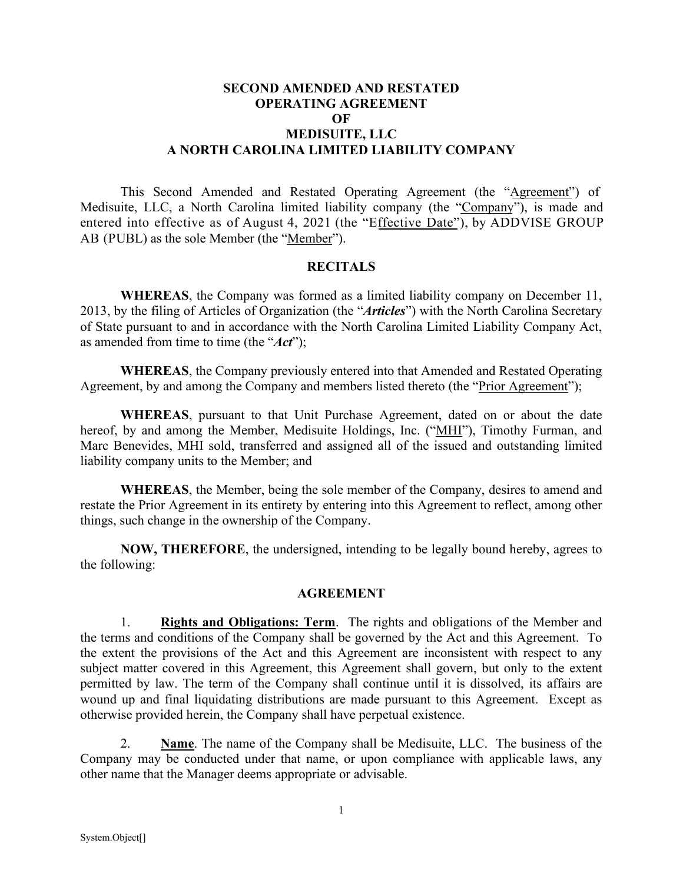# **SECOND AMENDED AND RESTATED OPERATING AGREEMENT OF MEDISUITE, LLC A NORTH CAROLINA LIMITED LIABILITY COMPANY**

This Second Amended and Restated Operating Agreement (the "Agreement") of Medisuite, LLC, a North Carolina limited liability company (the "Company"), is made and entered into effective as of August 4, 2021 (the "Effective Date"), by ADDVISE GROUP AB (PUBL) as the sole Member (the "Member").

### **RECITALS**

**WHEREAS**, the Company was formed as a limited liability company on December 11, 2013, by the filing of Articles of Organization (the "*Articles*") with the North Carolina Secretary of State pursuant to and in accordance with the North Carolina Limited Liability Company Act, as amended from time to time (the "*Act*");

**WHEREAS**, the Company previously entered into that Amended and Restated Operating Agreement, by and among the Company and members listed thereto (the "Prior Agreement");

**WHEREAS**, pursuant to that Unit Purchase Agreement, dated on or about the date hereof, by and among the Member, Medisuite Holdings, Inc. ("MHI"), Timothy Furman, and Marc Benevides, MHI sold, transferred and assigned all of the issued and outstanding limited liability company units to the Member; and

**WHEREAS**, the Member, being the sole member of the Company, desires to amend and restate the Prior Agreement in its entirety by entering into this Agreement to reflect, among other things, such change in the ownership of the Company.

**NOW, THEREFORE**, the undersigned, intending to be legally bound hereby, agrees to the following:

#### **AGREEMENT**

1. **Rights and Obligations: Term**. The rights and obligations of the Member and the terms and conditions of the Company shall be governed by the Act and this Agreement. To the extent the provisions of the Act and this Agreement are inconsistent with respect to any subject matter covered in this Agreement, this Agreement shall govern, but only to the extent permitted by law. The term of the Company shall continue until it is dissolved, its affairs are wound up and final liquidating distributions are made pursuant to this Agreement. Except as otherwise provided herein, the Company shall have perpetual existence.

2. **Name**. The name of the Company shall be Medisuite, LLC. The business of the Company may be conducted under that name, or upon compliance with applicable laws, any other name that the Manager deems appropriate or advisable.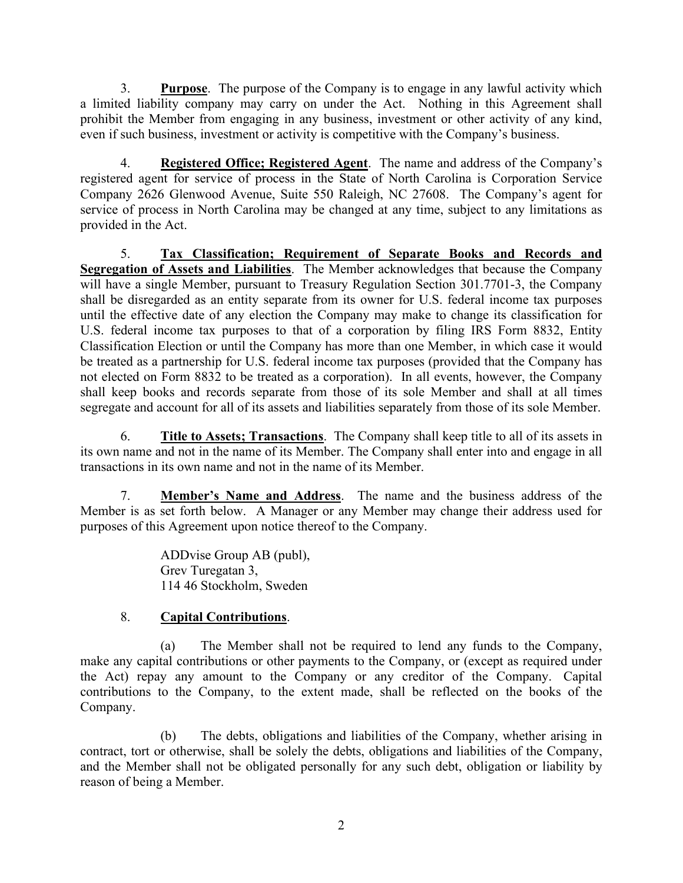3. **Purpose**. The purpose of the Company is to engage in any lawful activity which a limited liability company may carry on under the Act. Nothing in this Agreement shall prohibit the Member from engaging in any business, investment or other activity of any kind, even if such business, investment or activity is competitive with the Company's business.

4. **Registered Office; Registered Agent**. The name and address of the Company's registered agent for service of process in the State of North Carolina is Corporation Service Company 2626 Glenwood Avenue, Suite 550 Raleigh, NC 27608. The Company's agent for service of process in North Carolina may be changed at any time, subject to any limitations as provided in the Act.

5. **Tax Classification; Requirement of Separate Books and Records and Segregation of Assets and Liabilities**. The Member acknowledges that because the Company will have a single Member, pursuant to Treasury Regulation Section 301.7701-3, the Company shall be disregarded as an entity separate from its owner for U.S. federal income tax purposes until the effective date of any election the Company may make to change its classification for U.S. federal income tax purposes to that of a corporation by filing IRS Form 8832, Entity Classification Election or until the Company has more than one Member, in which case it would be treated as a partnership for U.S. federal income tax purposes (provided that the Company has not elected on Form 8832 to be treated as a corporation). In all events, however, the Company shall keep books and records separate from those of its sole Member and shall at all times segregate and account for all of its assets and liabilities separately from those of its sole Member.

6. **Title to Assets; Transactions**. The Company shall keep title to all of its assets in its own name and not in the name of its Member. The Company shall enter into and engage in all transactions in its own name and not in the name of its Member.

7. **Member's Name and Address**. The name and the business address of the Member is as set forth below. A Manager or any Member may change their address used for purposes of this Agreement upon notice thereof to the Company.

> ADDvise Group AB (publ), Grev Turegatan 3, 114 46 Stockholm, Sweden

# 8. **Capital Contributions**.

(a) The Member shall not be required to lend any funds to the Company, make any capital contributions or other payments to the Company, or (except as required under the Act) repay any amount to the Company or any creditor of the Company. Capital contributions to the Company, to the extent made, shall be reflected on the books of the Company.

(b) The debts, obligations and liabilities of the Company, whether arising in contract, tort or otherwise, shall be solely the debts, obligations and liabilities of the Company, and the Member shall not be obligated personally for any such debt, obligation or liability by reason of being a Member.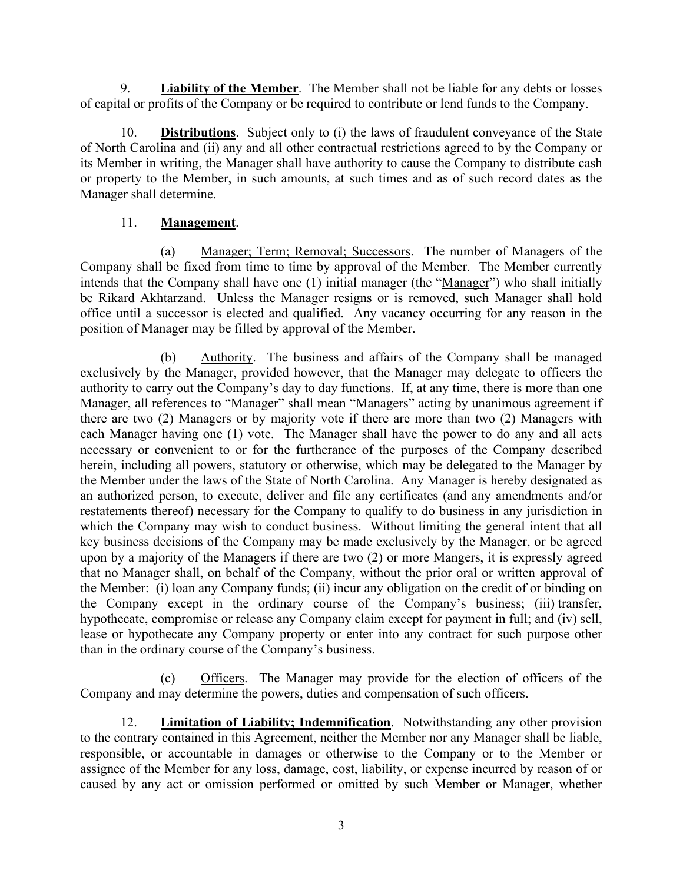9. **Liability of the Member**. The Member shall not be liable for any debts or losses of capital or profits of the Company or be required to contribute or lend funds to the Company.

10. **Distributions**. Subject only to (i) the laws of fraudulent conveyance of the State of North Carolina and (ii) any and all other contractual restrictions agreed to by the Company or its Member in writing, the Manager shall have authority to cause the Company to distribute cash or property to the Member, in such amounts, at such times and as of such record dates as the Manager shall determine.

# 11. **Management**.

(a) Manager; Term; Removal; Successors. The number of Managers of the Company shall be fixed from time to time by approval of the Member. The Member currently intends that the Company shall have one (1) initial manager (the "Manager") who shall initially be Rikard Akhtarzand. Unless the Manager resigns or is removed, such Manager shall hold office until a successor is elected and qualified. Any vacancy occurring for any reason in the position of Manager may be filled by approval of the Member.

(b) Authority. The business and affairs of the Company shall be managed exclusively by the Manager, provided however, that the Manager may delegate to officers the authority to carry out the Company's day to day functions. If, at any time, there is more than one Manager, all references to "Manager" shall mean "Managers" acting by unanimous agreement if there are two (2) Managers or by majority vote if there are more than two (2) Managers with each Manager having one (1) vote. The Manager shall have the power to do any and all acts necessary or convenient to or for the furtherance of the purposes of the Company described herein, including all powers, statutory or otherwise, which may be delegated to the Manager by the Member under the laws of the State of North Carolina. Any Manager is hereby designated as an authorized person, to execute, deliver and file any certificates (and any amendments and/or restatements thereof) necessary for the Company to qualify to do business in any jurisdiction in which the Company may wish to conduct business. Without limiting the general intent that all key business decisions of the Company may be made exclusively by the Manager, or be agreed upon by a majority of the Managers if there are two (2) or more Mangers, it is expressly agreed that no Manager shall, on behalf of the Company, without the prior oral or written approval of the Member: (i) loan any Company funds; (ii) incur any obligation on the credit of or binding on the Company except in the ordinary course of the Company's business; (iii) transfer, hypothecate, compromise or release any Company claim except for payment in full; and (iv) sell, lease or hypothecate any Company property or enter into any contract for such purpose other than in the ordinary course of the Company's business.

(c) Officers. The Manager may provide for the election of officers of the Company and may determine the powers, duties and compensation of such officers.

12. **Limitation of Liability; Indemnification**. Notwithstanding any other provision to the contrary contained in this Agreement, neither the Member nor any Manager shall be liable, responsible, or accountable in damages or otherwise to the Company or to the Member or assignee of the Member for any loss, damage, cost, liability, or expense incurred by reason of or caused by any act or omission performed or omitted by such Member or Manager, whether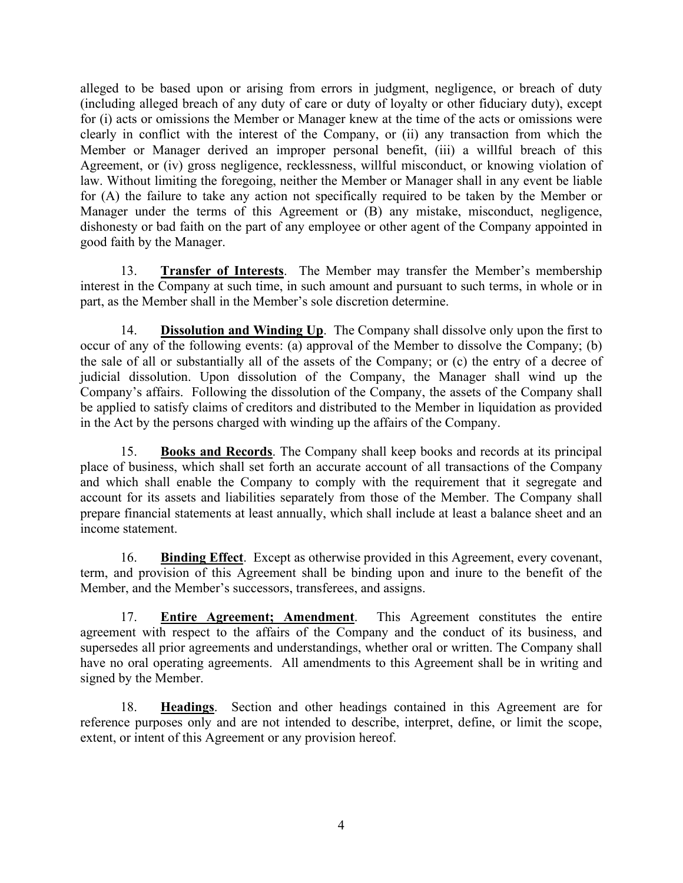alleged to be based upon or arising from errors in judgment, negligence, or breach of duty (including alleged breach of any duty of care or duty of loyalty or other fiduciary duty), except for (i) acts or omissions the Member or Manager knew at the time of the acts or omissions were clearly in conflict with the interest of the Company, or (ii) any transaction from which the Member or Manager derived an improper personal benefit, (iii) a willful breach of this Agreement, or (iv) gross negligence, recklessness, willful misconduct, or knowing violation of law. Without limiting the foregoing, neither the Member or Manager shall in any event be liable for (A) the failure to take any action not specifically required to be taken by the Member or Manager under the terms of this Agreement or (B) any mistake, misconduct, negligence, dishonesty or bad faith on the part of any employee or other agent of the Company appointed in good faith by the Manager.

13. **Transfer of Interests**. The Member may transfer the Member's membership interest in the Company at such time, in such amount and pursuant to such terms, in whole or in part, as the Member shall in the Member's sole discretion determine.

14. **Dissolution and Winding Up**. The Company shall dissolve only upon the first to occur of any of the following events: (a) approval of the Member to dissolve the Company; (b) the sale of all or substantially all of the assets of the Company; or (c) the entry of a decree of judicial dissolution. Upon dissolution of the Company, the Manager shall wind up the Company's affairs. Following the dissolution of the Company, the assets of the Company shall be applied to satisfy claims of creditors and distributed to the Member in liquidation as provided in the Act by the persons charged with winding up the affairs of the Company.

15. **Books and Records**. The Company shall keep books and records at its principal place of business, which shall set forth an accurate account of all transactions of the Company and which shall enable the Company to comply with the requirement that it segregate and account for its assets and liabilities separately from those of the Member. The Company shall prepare financial statements at least annually, which shall include at least a balance sheet and an income statement.

16. **Binding Effect**. Except as otherwise provided in this Agreement, every covenant, term, and provision of this Agreement shall be binding upon and inure to the benefit of the Member, and the Member's successors, transferees, and assigns.

17. **Entire Agreement; Amendment**. This Agreement constitutes the entire agreement with respect to the affairs of the Company and the conduct of its business, and supersedes all prior agreements and understandings, whether oral or written. The Company shall have no oral operating agreements. All amendments to this Agreement shall be in writing and signed by the Member.

18. **Headings**. Section and other headings contained in this Agreement are for reference purposes only and are not intended to describe, interpret, define, or limit the scope, extent, or intent of this Agreement or any provision hereof.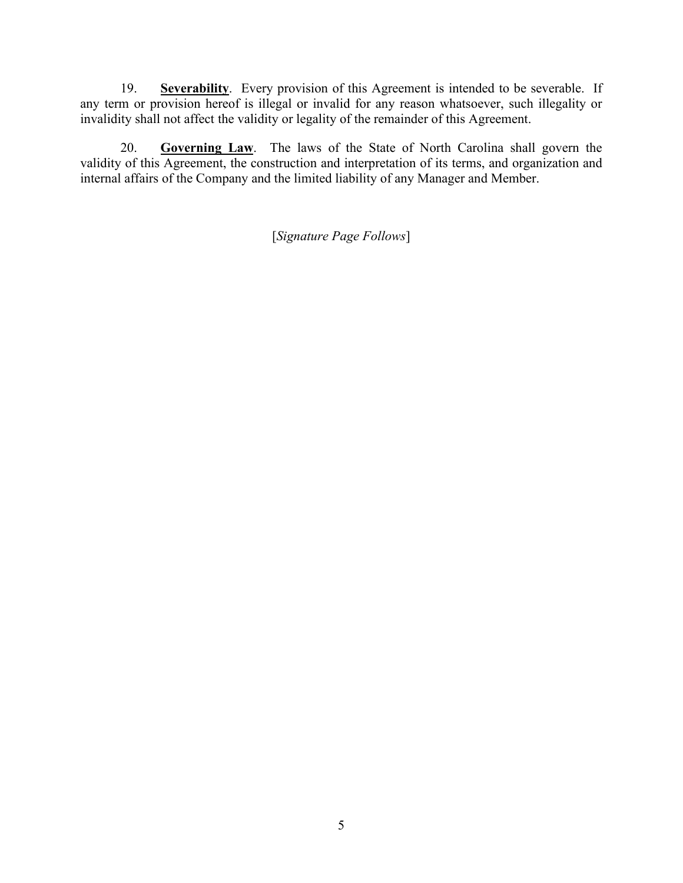19. **Severability**. Every provision of this Agreement is intended to be severable. If any term or provision hereof is illegal or invalid for any reason whatsoever, such illegality or invalidity shall not affect the validity or legality of the remainder of this Agreement.

20. **Governing Law**. The laws of the State of North Carolina shall govern the validity of this Agreement, the construction and interpretation of its terms, and organization and internal affairs of the Company and the limited liability of any Manager and Member.

[*Signature Page Follows*]